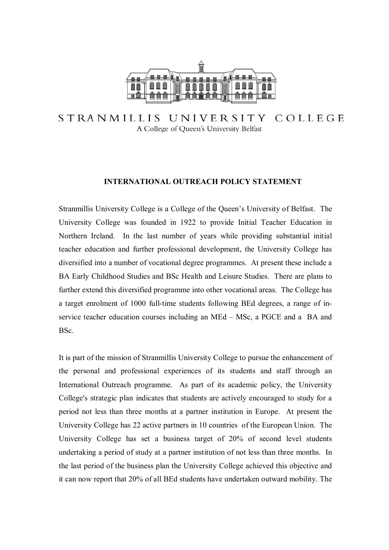

COLLEGE STRANMILLIS UNIVERSITY A College of Queen's University Belfast

## **INTERNATIONAL OUTREACH POLICY STATEMENT**

Stranmillis University College is a College of the Queen's University of Belfast. The University College was founded in 1922 to provide Initial Teacher Education in Northern Ireland. In the last number of years while providing substantial initial teacher education and further professional development, the University College has diversified into a number of vocational degree programmes. At present these include a BA Early Childhood Studies and BSc Health and Leisure Studies. There are plans to further extend this diversified programme into other vocational areas. The College has a target enrolment of 1000 full-time students following BEd degrees, a range of inservice teacher education courses including an MEd – MSc, a PGCE and a BA and BSc.

It is part of the mission of Stranmillis University College to pursue the enhancement of the personal and professional experiences of its students and staff through an International Outreach programme. As part of its academic policy, the University College's strategic plan indicates that students are actively encouraged to study for a period not less than three months at a partner institution in Europe. At present the University College has 22 active partners in 10 countries of the European Union. The University College has set a business target of 20% of second level students undertaking a period of study at a partner institution of not less than three months. In the last period of the business plan the University College achieved this objective and it can now report that 20% of all BEd students have undertaken outward mobility. The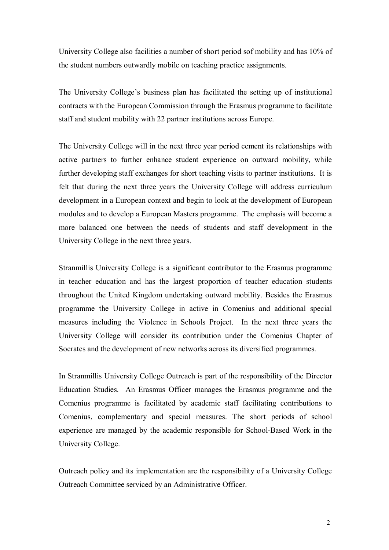University College also facilities a number of short period sof mobility and has 10% of the student numbers outwardly mobile on teaching practice assignments.

The University College's business plan has facilitated the setting up of institutional contracts with the European Commission through the Erasmus programme to facilitate staff and student mobility with 22 partner institutions across Europe.

The University College will in the next three year period cement its relationships with active partners to further enhance student experience on outward mobility, while further developing staff exchanges for short teaching visits to partner institutions. It is felt that during the next three years the University College will address curriculum development in a European context and begin to look at the development of European modules and to develop a European Masters programme. The emphasis will become a more balanced one between the needs of students and staff development in the University College in the next three years.

Stranmillis University College is a significant contributor to the Erasmus programme in teacher education and has the largest proportion of teacher education students throughout the United Kingdom undertaking outward mobility. Besides the Erasmus programme the University College in active in Comenius and additional special measures including the Violence in Schools Project. In the next three years the University College will consider its contribution under the Comenius Chapter of Socrates and the development of new networks across its diversified programmes.

In Stranmillis University College Outreach is part of the responsibility of the Director Education Studies. An Erasmus Officer manages the Erasmus programme and the Comenius programme is facilitated by academic staff facilitating contributions to Comenius, complementary and special measures. The short periods of school experience are managed by the academic responsible for School-Based Work in the University College.

Outreach policy and its implementation are the responsibility of a University College Outreach Committee serviced by an Administrative Officer.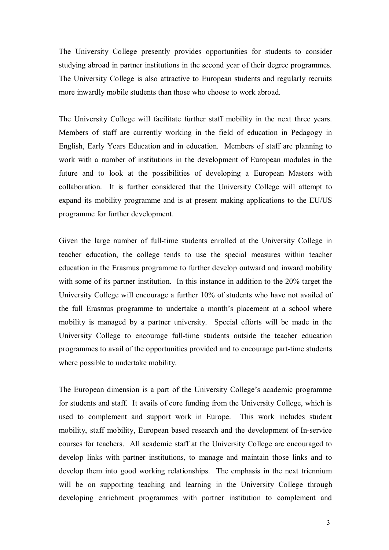The University College presently provides opportunities for students to consider studying abroad in partner institutions in the second year of their degree programmes. The University College is also attractive to European students and regularly recruits more inwardly mobile students than those who choose to work abroad.

The University College will facilitate further staff mobility in the next three years. Members of staff are currently working in the field of education in Pedagogy in English, Early Years Education and in education. Members of staff are planning to work with a number of institutions in the development of European modules in the future and to look at the possibilities of developing a European Masters with collaboration. It is further considered that the University College will attempt to expand its mobility programme and is at present making applications to the EU/US programme for further development.

Given the large number of full-time students enrolled at the University College in teacher education, the college tends to use the special measures within teacher education in the Erasmus programme to further develop outward and inward mobility with some of its partner institution. In this instance in addition to the 20% target the University College will encourage a further 10% of students who have not availed of the full Erasmus programme to undertake a month's placement at a school where mobility is managed by a partner university. Special efforts will be made in the University College to encourage full-time students outside the teacher education programmes to avail of the opportunities provided and to encourage part-time students where possible to undertake mobility.

The European dimension is a part of the University College's academic programme for students and staff. It avails of core funding from the University College, which is used to complement and support work in Europe. This work includes student mobility, staff mobility, European based research and the development of In-service courses for teachers. All academic staff at the University College are encouraged to develop links with partner institutions, to manage and maintain those links and to develop them into good working relationships. The emphasis in the next triennium will be on supporting teaching and learning in the University College through developing enrichment programmes with partner institution to complement and